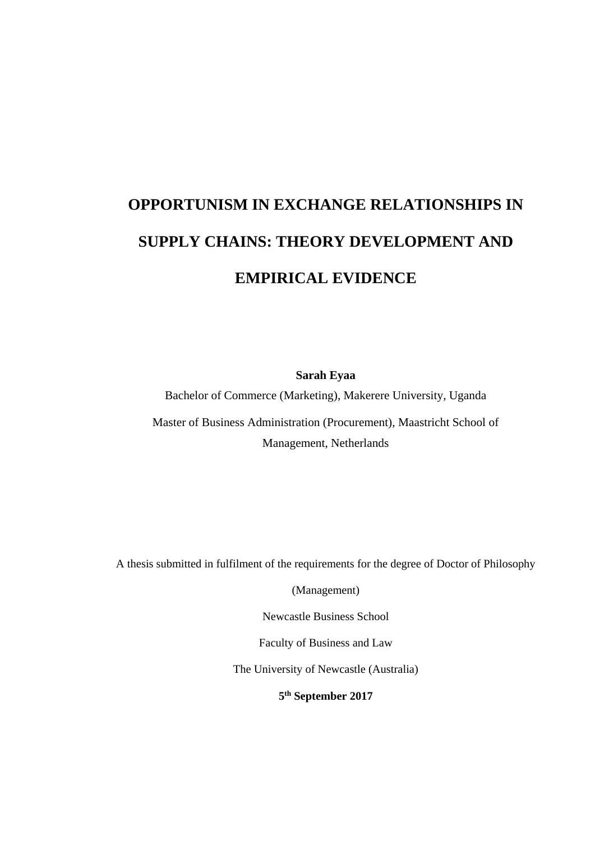# **OPPORTUNISM IN EXCHANGE RELATIONSHIPS IN SUPPLY CHAINS: THEORY DEVELOPMENT AND EMPIRICAL EVIDENCE**

**Sarah Eyaa** 

Bachelor of Commerce (Marketing), Makerere University, Uganda

Master of Business Administration (Procurement), Maastricht School of Management, Netherlands

A thesis submitted in fulfilment of the requirements for the degree of Doctor of Philosophy

(Management)

Newcastle Business School

Faculty of Business and Law

The University of Newcastle (Australia)

**5 th September 2017**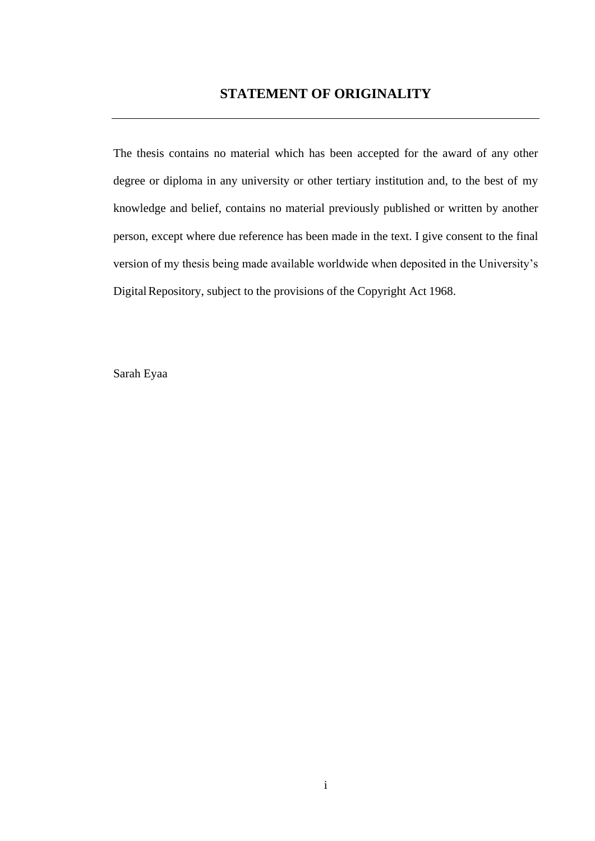The thesis contains no material which has been accepted for the award of any other degree or diploma in any university or other tertiary institution and, to the best of my knowledge and belief, contains no material previously published or written by another person, except where due reference has been made in the text. I give consent to the final version of my thesis being made available worldwide when deposited in the University's DigitalRepository, subject to the provisions of the Copyright Act 1968.

Sarah Eyaa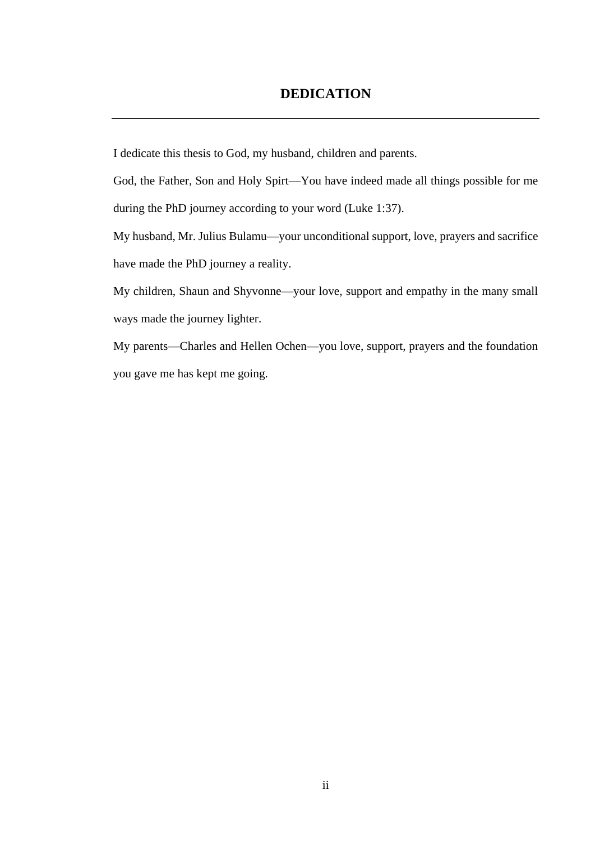# **DEDICATION**

I dedicate this thesis to God, my husband, children and parents.

God, the Father, Son and Holy Spirt—You have indeed made all things possible for me during the PhD journey according to your word (Luke 1:37).

My husband, Mr. Julius Bulamu—your unconditional support, love, prayers and sacrifice have made the PhD journey a reality.

My children, Shaun and Shyvonne—your love, support and empathy in the many small ways made the journey lighter.

My parents—Charles and Hellen Ochen—you love, support, prayers and the foundation you gave me has kept me going.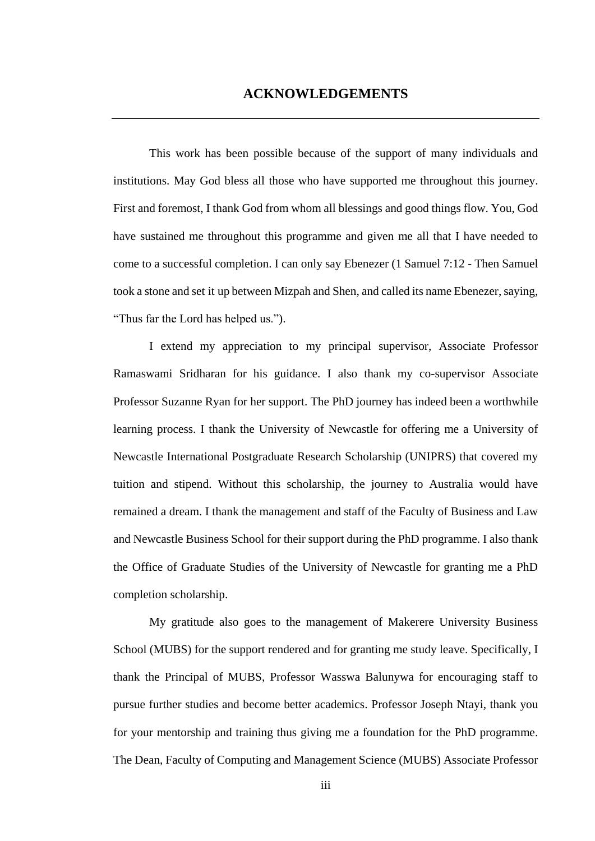This work has been possible because of the support of many individuals and institutions. May God bless all those who have supported me throughout this journey. First and foremost, I thank God from whom all blessings and good things flow. You, God have sustained me throughout this programme and given me all that I have needed to come to a successful completion. I can only say Ebenezer (1 Samuel 7:12 - Then Samuel took a stone and set it up between Mizpah and Shen, and called its name Ebenezer, saying, "Thus far the Lord has helped us.").

I extend my appreciation to my principal supervisor, Associate Professor Ramaswami Sridharan for his guidance. I also thank my co-supervisor Associate Professor Suzanne Ryan for her support. The PhD journey has indeed been a worthwhile learning process. I thank the University of Newcastle for offering me a University of Newcastle International Postgraduate Research Scholarship (UNIPRS) that covered my tuition and stipend. Without this scholarship, the journey to Australia would have remained a dream. I thank the management and staff of the Faculty of Business and Law and Newcastle Business School for their support during the PhD programme. I also thank the Office of Graduate Studies of the University of Newcastle for granting me a PhD completion scholarship.

My gratitude also goes to the management of Makerere University Business School (MUBS) for the support rendered and for granting me study leave. Specifically, I thank the Principal of MUBS, Professor Wasswa Balunywa for encouraging staff to pursue further studies and become better academics. Professor Joseph Ntayi, thank you for your mentorship and training thus giving me a foundation for the PhD programme. The Dean, Faculty of Computing and Management Science (MUBS) Associate Professor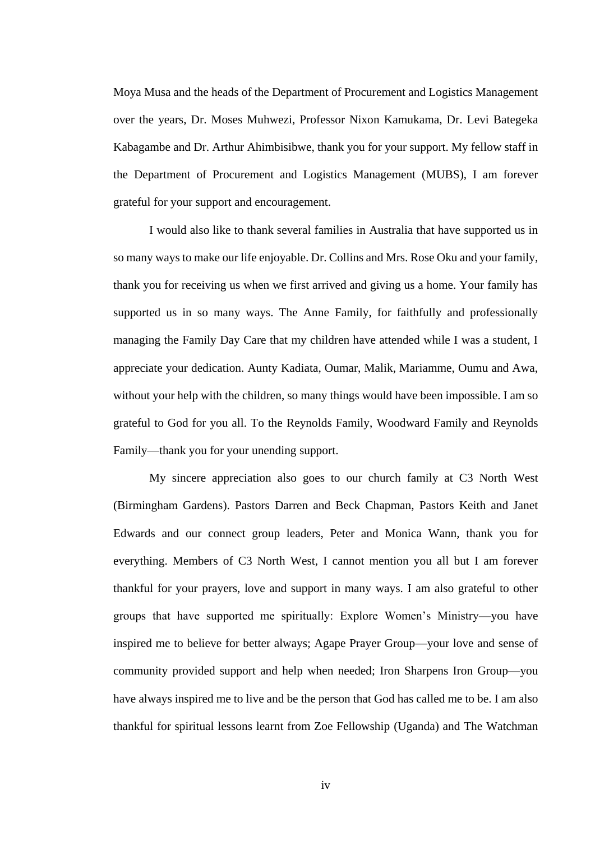Moya Musa and the heads of the Department of Procurement and Logistics Management over the years, Dr. Moses Muhwezi, Professor Nixon Kamukama, Dr. Levi Bategeka Kabagambe and Dr. Arthur Ahimbisibwe, thank you for your support. My fellow staff in the Department of Procurement and Logistics Management (MUBS), I am forever grateful for your support and encouragement.

I would also like to thank several families in Australia that have supported us in so many ways to make our life enjoyable. Dr. Collins and Mrs. Rose Oku and your family, thank you for receiving us when we first arrived and giving us a home. Your family has supported us in so many ways. The Anne Family, for faithfully and professionally managing the Family Day Care that my children have attended while I was a student, I appreciate your dedication. Aunty Kadiata, Oumar, Malik, Mariamme, Oumu and Awa, without your help with the children, so many things would have been impossible. I am so grateful to God for you all. To the Reynolds Family, Woodward Family and Reynolds Family—thank you for your unending support.

My sincere appreciation also goes to our church family at C3 North West (Birmingham Gardens). Pastors Darren and Beck Chapman, Pastors Keith and Janet Edwards and our connect group leaders, Peter and Monica Wann, thank you for everything. Members of C3 North West, I cannot mention you all but I am forever thankful for your prayers, love and support in many ways. I am also grateful to other groups that have supported me spiritually: Explore Women's Ministry—you have inspired me to believe for better always; Agape Prayer Group—your love and sense of community provided support and help when needed; Iron Sharpens Iron Group—you have always inspired me to live and be the person that God has called me to be. I am also thankful for spiritual lessons learnt from Zoe Fellowship (Uganda) and The Watchman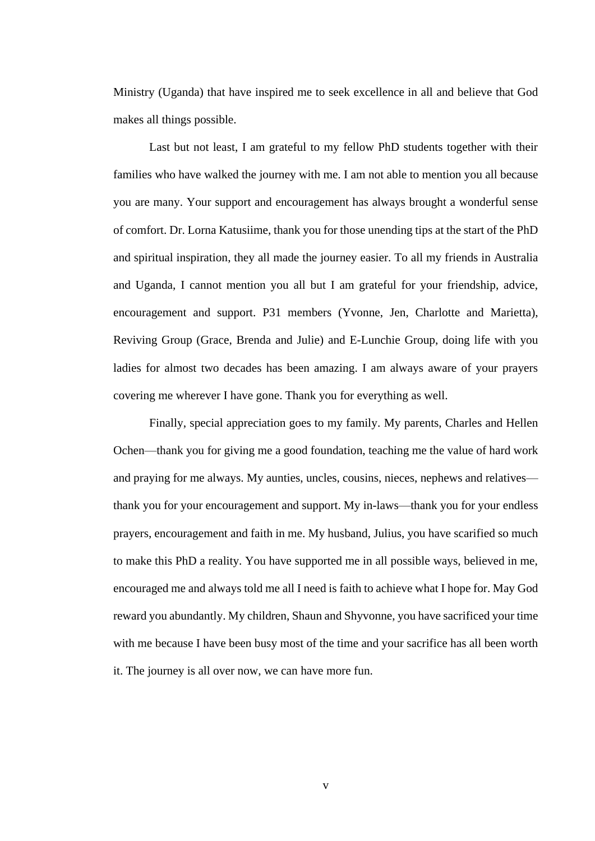Ministry (Uganda) that have inspired me to seek excellence in all and believe that God makes all things possible.

Last but not least, I am grateful to my fellow PhD students together with their families who have walked the journey with me. I am not able to mention you all because you are many. Your support and encouragement has always brought a wonderful sense of comfort. Dr. Lorna Katusiime, thank you for those unending tips at the start of the PhD and spiritual inspiration, they all made the journey easier. To all my friends in Australia and Uganda, I cannot mention you all but I am grateful for your friendship, advice, encouragement and support. P31 members (Yvonne, Jen, Charlotte and Marietta), Reviving Group (Grace, Brenda and Julie) and E-Lunchie Group, doing life with you ladies for almost two decades has been amazing. I am always aware of your prayers covering me wherever I have gone. Thank you for everything as well.

Finally, special appreciation goes to my family. My parents, Charles and Hellen Ochen—thank you for giving me a good foundation, teaching me the value of hard work and praying for me always. My aunties, uncles, cousins, nieces, nephews and relatives thank you for your encouragement and support. My in-laws—thank you for your endless prayers, encouragement and faith in me. My husband, Julius, you have scarified so much to make this PhD a reality. You have supported me in all possible ways, believed in me, encouraged me and always told me all I need is faith to achieve what I hope for. May God reward you abundantly. My children, Shaun and Shyvonne, you have sacrificed your time with me because I have been busy most of the time and your sacrifice has all been worth it. The journey is all over now, we can have more fun.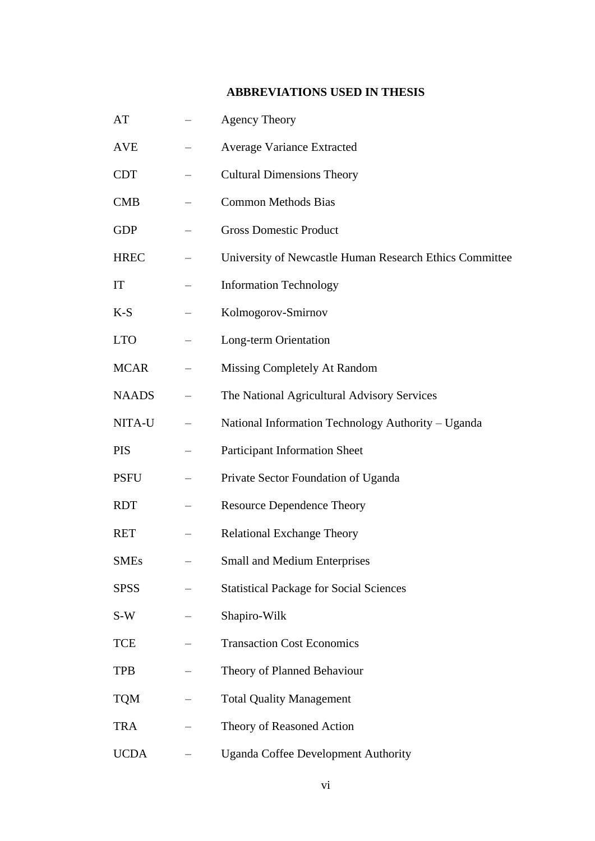# **ABBREVIATIONS USED IN THESIS**

| AT           | <b>Agency Theory</b>                                    |
|--------------|---------------------------------------------------------|
| <b>AVE</b>   | Average Variance Extracted                              |
| <b>CDT</b>   | <b>Cultural Dimensions Theory</b>                       |
| <b>CMB</b>   | <b>Common Methods Bias</b>                              |
| <b>GDP</b>   | <b>Gross Domestic Product</b>                           |
| <b>HREC</b>  | University of Newcastle Human Research Ethics Committee |
| IT           | <b>Information Technology</b>                           |
| $K-S$        | Kolmogorov-Smirnov                                      |
| <b>LTO</b>   | Long-term Orientation                                   |
| <b>MCAR</b>  | Missing Completely At Random                            |
| <b>NAADS</b> | The National Agricultural Advisory Services             |
| NITA-U       | National Information Technology Authority - Uganda      |
| <b>PIS</b>   | <b>Participant Information Sheet</b>                    |
| <b>PSFU</b>  | Private Sector Foundation of Uganda                     |
| <b>RDT</b>   | <b>Resource Dependence Theory</b>                       |
| <b>RET</b>   | <b>Relational Exchange Theory</b>                       |
| SMEs         | <b>Small and Medium Enterprises</b>                     |
| <b>SPSS</b>  | <b>Statistical Package for Social Sciences</b>          |
| S-W          | Shapiro-Wilk                                            |
| <b>TCE</b>   | <b>Transaction Cost Economics</b>                       |
| <b>TPB</b>   | Theory of Planned Behaviour                             |
| <b>TQM</b>   | <b>Total Quality Management</b>                         |
| <b>TRA</b>   | Theory of Reasoned Action                               |
| <b>UCDA</b>  | <b>Uganda Coffee Development Authority</b>              |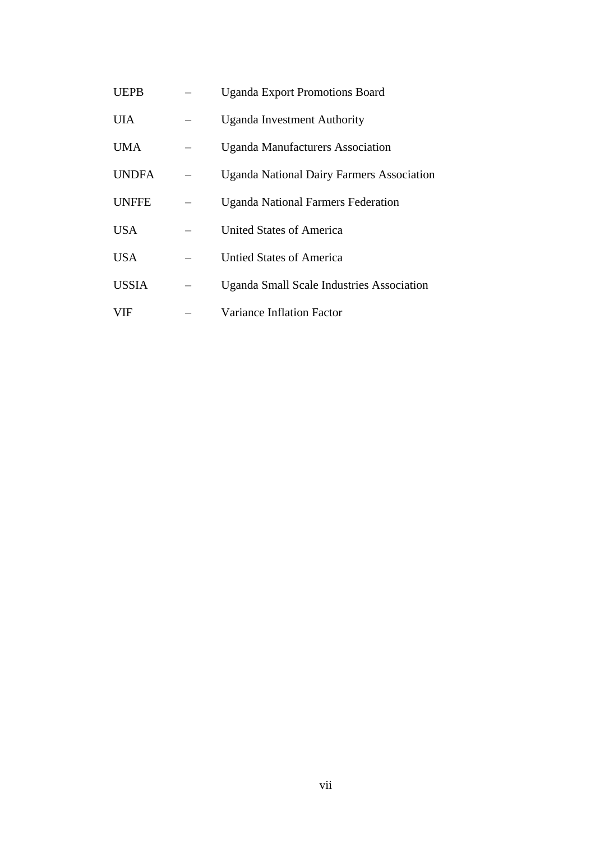| UEPB         | <b>Uganda Export Promotions Board</b>            |
|--------------|--------------------------------------------------|
| UIA          | <b>Uganda Investment Authority</b>               |
| UMA          | <b>Uganda Manufacturers Association</b>          |
| <b>UNDFA</b> | <b>Uganda National Dairy Farmers Association</b> |
| <b>UNFFE</b> | <b>Uganda National Farmers Federation</b>        |
| USA          | United States of America                         |
| USA          | <b>Untied States of America</b>                  |
| <b>USSIA</b> | <b>Uganda Small Scale Industries Association</b> |
| VIF          | Variance Inflation Factor                        |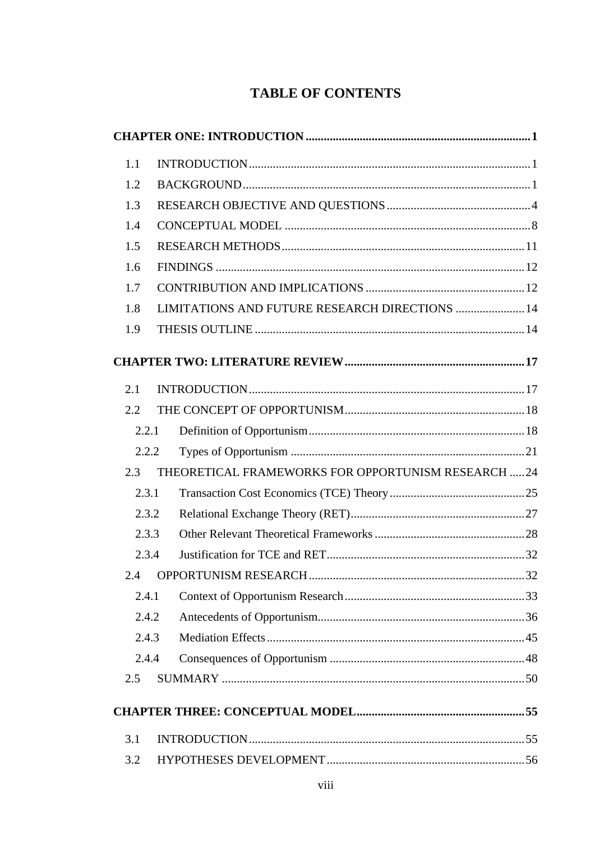# **TABLE OF CONTENTS**

| 1.1   |                                                     |  |
|-------|-----------------------------------------------------|--|
| 1.2   |                                                     |  |
| 1.3   |                                                     |  |
| 1.4   |                                                     |  |
| 1.5   |                                                     |  |
| 1.6   |                                                     |  |
| 1.7   |                                                     |  |
| 1.8   | LIMITATIONS AND FUTURE RESEARCH DIRECTIONS  14      |  |
| 1.9   |                                                     |  |
|       |                                                     |  |
| 2.1   |                                                     |  |
| 2.2   |                                                     |  |
| 2.2.1 |                                                     |  |
| 2.2.2 |                                                     |  |
| 2.3   | THEORETICAL FRAMEWORKS FOR OPPORTUNISM RESEARCH  24 |  |
| 2.3.1 |                                                     |  |
| 2.3.2 |                                                     |  |
| 2.3.3 |                                                     |  |
| 2.3.4 |                                                     |  |
|       |                                                     |  |
| 2.4.1 |                                                     |  |
| 2.4.2 |                                                     |  |
| 2.4.3 |                                                     |  |
| 2.4.4 |                                                     |  |
| 2.5   |                                                     |  |
|       |                                                     |  |
| 3.1   |                                                     |  |
| 3.2   |                                                     |  |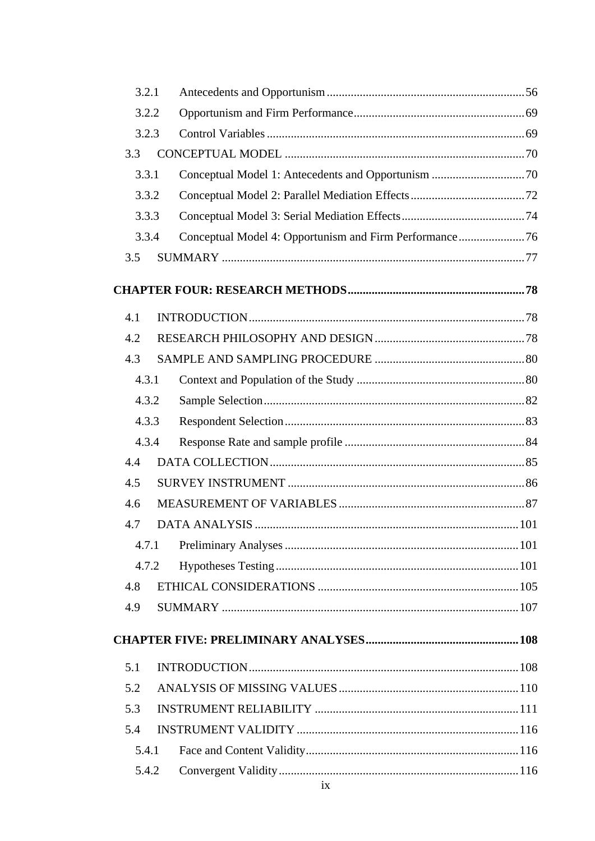| 3.2.1 |    |  |
|-------|----|--|
| 3.2.2 |    |  |
| 3.2.3 |    |  |
| 3.3   |    |  |
| 3.3.1 |    |  |
| 3.3.2 |    |  |
| 3.3.3 |    |  |
| 3.3.4 |    |  |
| 3.5   |    |  |
|       |    |  |
| 4.1   |    |  |
| 4.2   |    |  |
| 4.3   |    |  |
| 4.3.1 |    |  |
| 4.3.2 |    |  |
| 4.3.3 |    |  |
| 4.3.4 |    |  |
| 4.4   |    |  |
| 4.5   |    |  |
| 4.6   |    |  |
| 4.7   |    |  |
| 4.7.1 |    |  |
| 4.7.2 |    |  |
| 4.8   |    |  |
| 4.9   |    |  |
|       |    |  |
| 5.1   |    |  |
| 5.2   |    |  |
| 5.3   |    |  |
| 5.4   |    |  |
| 5.4.1 |    |  |
| 5.4.2 |    |  |
|       | ix |  |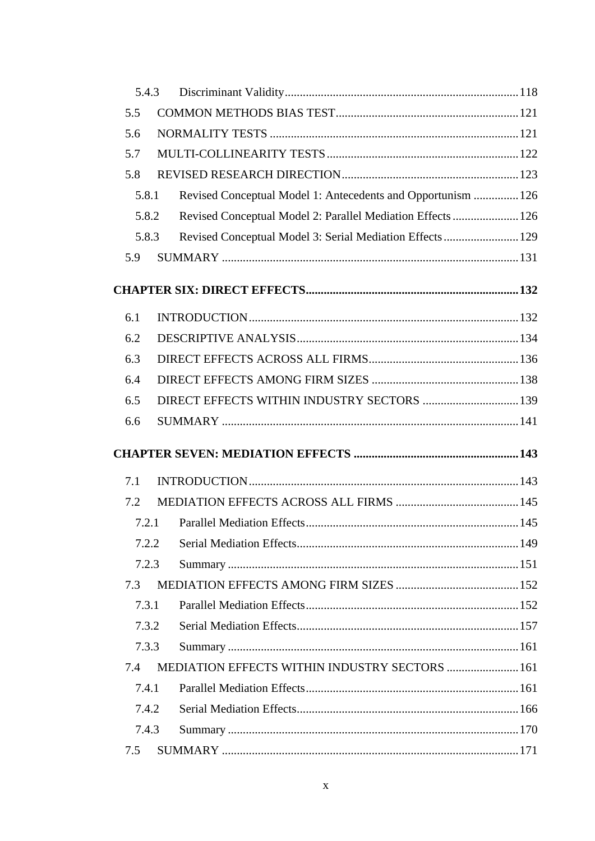|       | 5.4.3 |                                                              |  |
|-------|-------|--------------------------------------------------------------|--|
| 5.5   |       |                                                              |  |
| 5.6   |       |                                                              |  |
| 5.7   |       |                                                              |  |
| 5.8   |       |                                                              |  |
| 5.8.1 |       | Revised Conceptual Model 1: Antecedents and Opportunism  126 |  |
| 5.8.2 |       | Revised Conceptual Model 2: Parallel Mediation Effects  126  |  |
|       | 5.8.3 | Revised Conceptual Model 3: Serial Mediation Effects  129    |  |
| 5.9   |       |                                                              |  |
|       |       |                                                              |  |
| 6.1   |       |                                                              |  |
| 6.2   |       |                                                              |  |
| 6.3   |       |                                                              |  |
| 6.4   |       |                                                              |  |
| 6.5   |       | DIRECT EFFECTS WITHIN INDUSTRY SECTORS  139                  |  |
| 6.6   |       |                                                              |  |
|       |       |                                                              |  |
| 7.1   |       |                                                              |  |
| 7.2   |       |                                                              |  |
| 7.2.1 |       |                                                              |  |
| 7.2.2 |       |                                                              |  |
| 7.2.3 |       |                                                              |  |
| 7.3   |       |                                                              |  |
| 7.3.1 |       |                                                              |  |
| 7.3.2 |       |                                                              |  |
| 7.3.3 |       |                                                              |  |
| 7.4   |       | MEDIATION EFFECTS WITHIN INDUSTRY SECTORS  161               |  |
| 7.4.1 |       |                                                              |  |
| 7.4.2 |       |                                                              |  |
| 7.4.3 |       |                                                              |  |
| 7.5   |       |                                                              |  |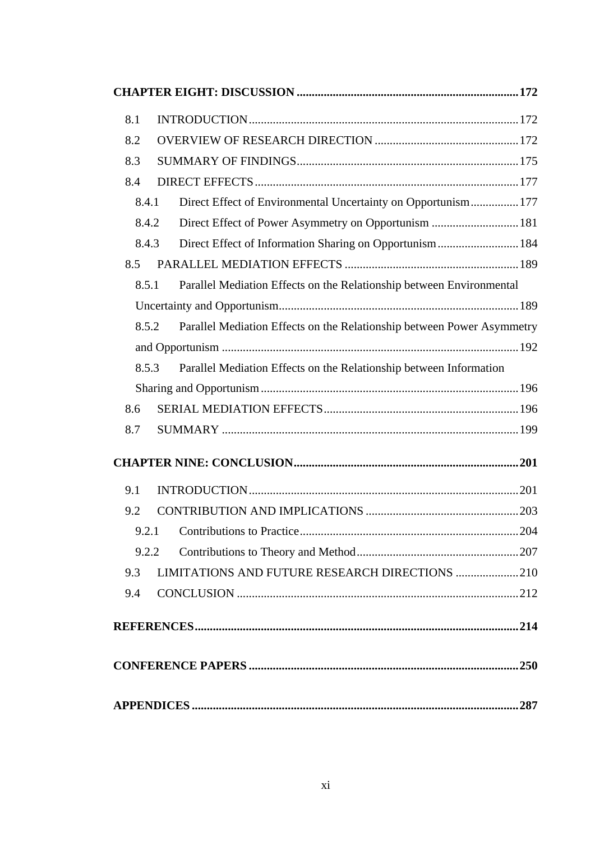| 8.1 |                                                                                 |  |
|-----|---------------------------------------------------------------------------------|--|
| 8.2 |                                                                                 |  |
| 8.3 |                                                                                 |  |
| 8.4 |                                                                                 |  |
|     | Direct Effect of Environmental Uncertainty on Opportunism 177<br>8.4.1          |  |
|     | Direct Effect of Power Asymmetry on Opportunism  181<br>8.4.2                   |  |
|     | Direct Effect of Information Sharing on Opportunism 184<br>8.4.3                |  |
| 8.5 |                                                                                 |  |
|     | Parallel Mediation Effects on the Relationship between Environmental<br>8.5.1   |  |
|     |                                                                                 |  |
|     | Parallel Mediation Effects on the Relationship between Power Asymmetry<br>8.5.2 |  |
|     |                                                                                 |  |
|     | Parallel Mediation Effects on the Relationship between Information<br>8.5.3     |  |
|     |                                                                                 |  |
| 8.6 |                                                                                 |  |
| 8.7 |                                                                                 |  |
|     |                                                                                 |  |
| 9.1 |                                                                                 |  |
| 9.2 |                                                                                 |  |
|     |                                                                                 |  |
|     | 9.2.2                                                                           |  |
| 9.3 | LIMITATIONS AND FUTURE RESEARCH DIRECTIONS 210                                  |  |
| 9.4 |                                                                                 |  |
|     |                                                                                 |  |
|     |                                                                                 |  |
|     |                                                                                 |  |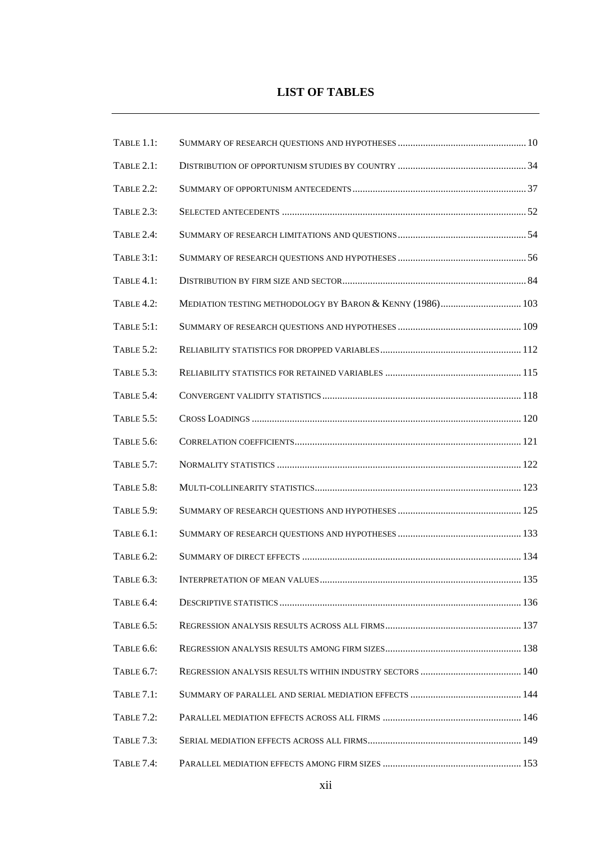#### **LIST OF TABLES**

| TABLE 1.1:        |                                                           |  |
|-------------------|-----------------------------------------------------------|--|
| <b>TABLE 2.1:</b> |                                                           |  |
| <b>TABLE 2.2:</b> |                                                           |  |
| TABLE 2.3:        |                                                           |  |
| TABLE 2.4:        |                                                           |  |
| <b>TABLE 3:1:</b> |                                                           |  |
| TABLE 4.1:        |                                                           |  |
| TABLE 4.2:        | MEDIATION TESTING METHODOLOGY BY BARON & KENNY (1986) 103 |  |
| TABLE $5:1$ :     |                                                           |  |
| <b>TABLE 5.2:</b> |                                                           |  |
| <b>TABLE 5.3:</b> |                                                           |  |
| TABLE 5.4:        |                                                           |  |
| TABLE 5.5:        |                                                           |  |
| TABLE 5.6:        |                                                           |  |
| <b>TABLE 5.7:</b> |                                                           |  |
| TABLE 5.8:        |                                                           |  |
| TABLE 5.9:        |                                                           |  |
| TABLE 6.1:        |                                                           |  |
| TABLE 6.2:        |                                                           |  |
| TABLE 6.3:        |                                                           |  |
| <b>TABLE 6.4:</b> |                                                           |  |
| TABLE 6.5:        |                                                           |  |
| TABLE 6.6:        |                                                           |  |
| TABLE 6.7:        |                                                           |  |
| <b>TABLE 7.1:</b> |                                                           |  |
| <b>TABLE 7.2:</b> |                                                           |  |
| <b>TABLE 7.3:</b> |                                                           |  |
| TABLE 7.4:        |                                                           |  |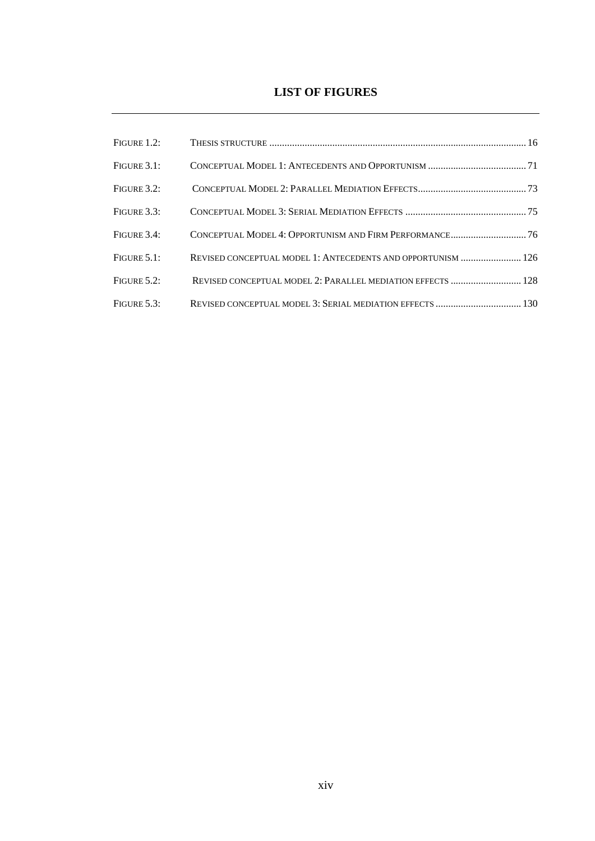### **LIST OF FIGURES**

| FIGURE 3.1:    |                                                              |  |
|----------------|--------------------------------------------------------------|--|
| FIGURE $3.2$ : |                                                              |  |
| FIGURE 3.3:    |                                                              |  |
| FIGURE 3.4:    | CONCEPTUAL MODEL 4: OPPORTUNISM AND FIRM PERFORMANCE 76      |  |
| FIGURE 5.1:    | REVISED CONCEPTUAL MODEL 1: ANTECEDENTS AND OPPORTUNISM  126 |  |
| FIGURE $5.2$ : | REVISED CONCEPTUAL MODEL 2: PARALLEL MEDIATION EFFECTS  128  |  |
| FIGURE $5.3$ : | REVISED CONCEPTUAL MODEL 3: SERIAL MEDIATION EFFECTS  130    |  |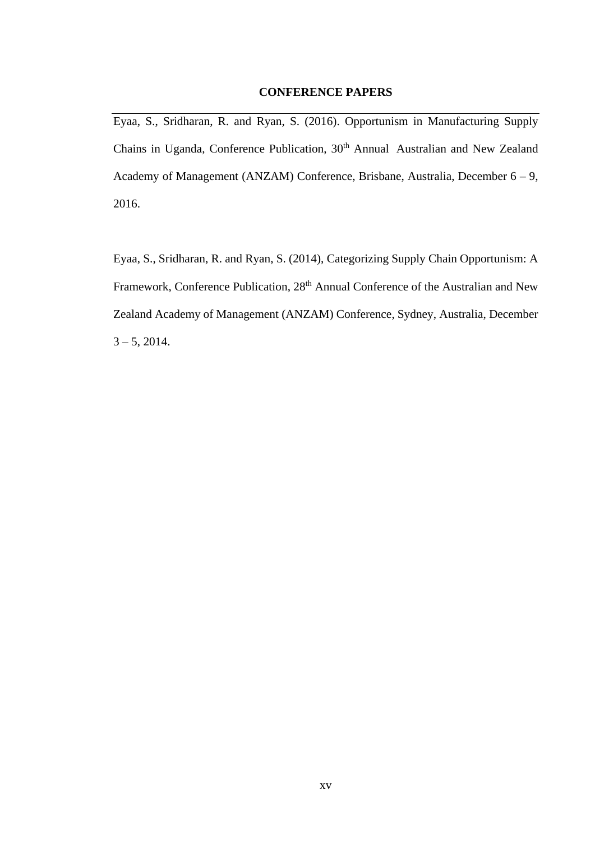#### **CONFERENCE PAPERS**

Eyaa, S., Sridharan, R. and Ryan, S. (2016). Opportunism in Manufacturing Supply Chains in Uganda, Conference Publication, 30<sup>th</sup> Annual Australian and New Zealand Academy of Management (ANZAM) Conference, Brisbane, Australia, December 6 – 9, 2016.

Eyaa, S., Sridharan, R. and Ryan, S. (2014), Categorizing Supply Chain Opportunism: A Framework, Conference Publication, 28<sup>th</sup> Annual Conference of the Australian and New Zealand Academy of Management (ANZAM) Conference, Sydney, Australia, December  $3 - 5$ , 2014.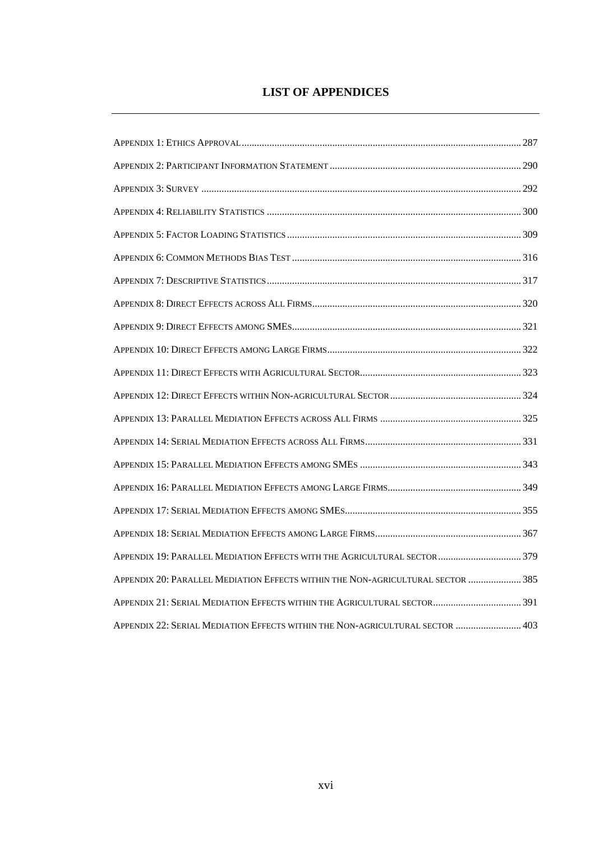## **LIST OF APPENDICES**

| APPENDIX 19: PARALLEL MEDIATION EFFECTS WITH THE AGRICULTURAL SECTOR  379       |  |
|---------------------------------------------------------------------------------|--|
| APPENDIX 20: PARALLEL MEDIATION EFFECTS WITHIN THE NON-AGRICULTURAL SECTOR  385 |  |
| APPENDIX 21: SERIAL MEDIATION EFFECTS WITHIN THE AGRICULTURAL SECTOR 391        |  |
| APPENDIX 22: SERIAL MEDIATION EFFECTS WITHIN THE NON-AGRICULTURAL SECTOR  403   |  |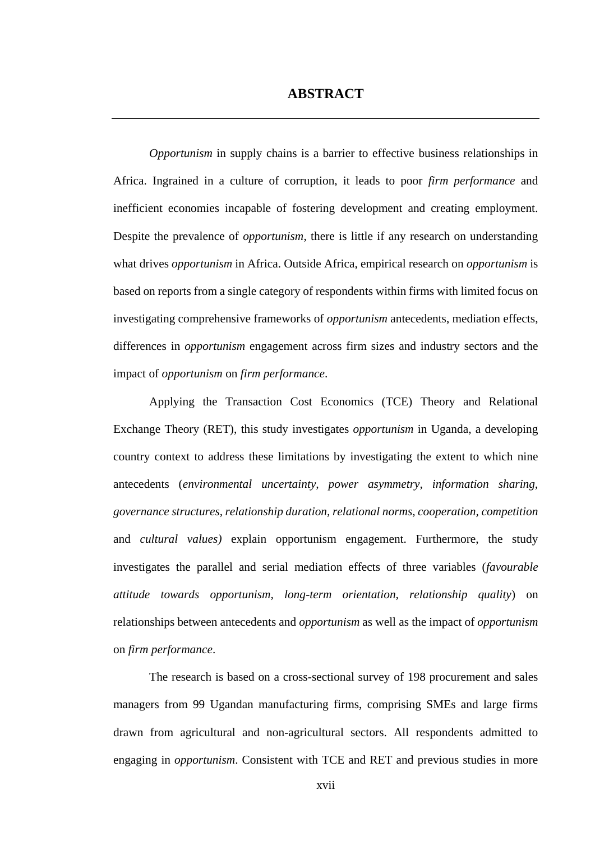# **ABSTRACT**

*Opportunism* in supply chains is a barrier to effective business relationships in Africa. Ingrained in a culture of corruption, it leads to poor *firm performance* and inefficient economies incapable of fostering development and creating employment. Despite the prevalence of *opportunism*, there is little if any research on understanding what drives *opportunism* in Africa. Outside Africa, empirical research on *opportunism* is based on reports from a single category of respondents within firms with limited focus on investigating comprehensive frameworks of *opportunism* antecedents, mediation effects, differences in *opportunism* engagement across firm sizes and industry sectors and the impact of *opportunism* on *firm performance*.

Applying the Transaction Cost Economics (TCE) Theory and Relational Exchange Theory (RET), this study investigates *opportunism* in Uganda, a developing country context to address these limitations by investigating the extent to which nine antecedents (*environmental uncertainty, power asymmetry, information sharing, governance structures, relationship duration, relational norms, cooperation, competition*  and *cultural values)* explain opportunism engagement. Furthermore, the study investigates the parallel and serial mediation effects of three variables (*favourable attitude towards opportunism, long-term orientation, relationship quality*) on relationships between antecedents and *opportunism* as well as the impact of *opportunism* on *firm performance*.

The research is based on a cross-sectional survey of 198 procurement and sales managers from 99 Ugandan manufacturing firms, comprising SMEs and large firms drawn from agricultural and non-agricultural sectors. All respondents admitted to engaging in *opportunism*. Consistent with TCE and RET and previous studies in more